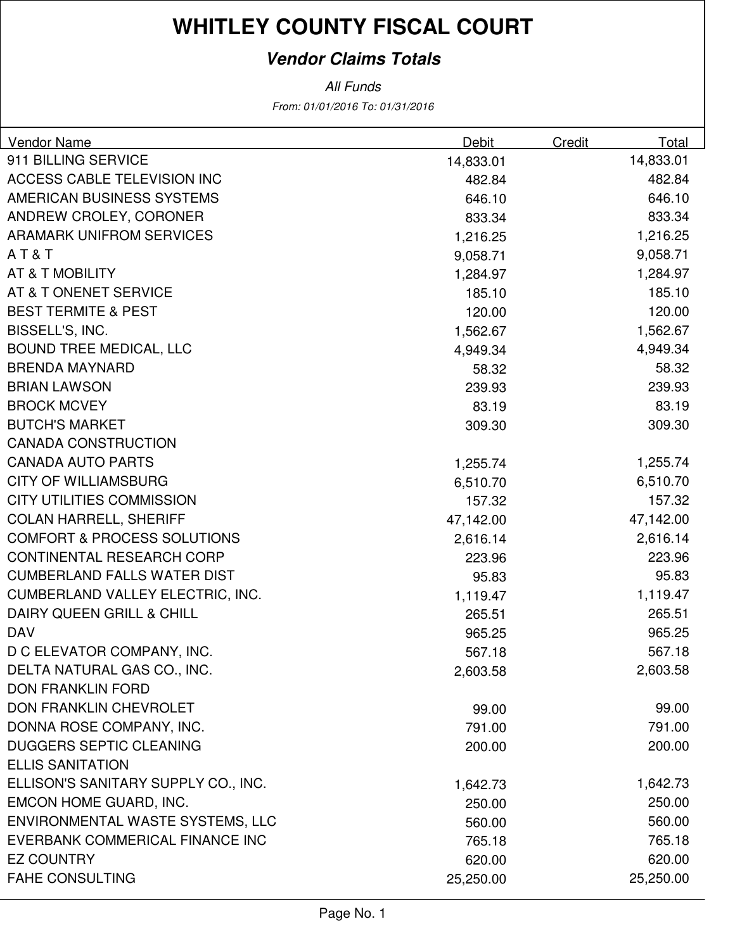### **Vendor Claims Totals**

From: 01/01/2016 To: 01/31/2016 All Funds

| Vendor Name                             | <b>Debit</b> | Credit | Total     |
|-----------------------------------------|--------------|--------|-----------|
| 911 BILLING SERVICE                     | 14,833.01    |        | 14,833.01 |
| ACCESS CABLE TELEVISION INC             | 482.84       |        | 482.84    |
| AMERICAN BUSINESS SYSTEMS               | 646.10       |        | 646.10    |
| ANDREW CROLEY, CORONER                  | 833.34       |        | 833.34    |
| <b>ARAMARK UNIFROM SERVICES</b>         | 1,216.25     |        | 1,216.25  |
| AT&T                                    | 9,058.71     |        | 9,058.71  |
| AT & T MOBILITY                         | 1,284.97     |        | 1,284.97  |
| AT & T ONENET SERVICE                   | 185.10       |        | 185.10    |
| <b>BEST TERMITE &amp; PEST</b>          | 120.00       |        | 120.00    |
| BISSELL'S, INC.                         | 1,562.67     |        | 1,562.67  |
| <b>BOUND TREE MEDICAL, LLC</b>          | 4,949.34     |        | 4,949.34  |
| <b>BRENDA MAYNARD</b>                   | 58.32        |        | 58.32     |
| <b>BRIAN LAWSON</b>                     | 239.93       |        | 239.93    |
| <b>BROCK MCVEY</b>                      | 83.19        |        | 83.19     |
| <b>BUTCH'S MARKET</b>                   | 309.30       |        | 309.30    |
| <b>CANADA CONSTRUCTION</b>              |              |        |           |
| <b>CANADA AUTO PARTS</b>                | 1,255.74     |        | 1,255.74  |
| <b>CITY OF WILLIAMSBURG</b>             | 6,510.70     |        | 6,510.70  |
| <b>CITY UTILITIES COMMISSION</b>        | 157.32       |        | 157.32    |
| <b>COLAN HARRELL, SHERIFF</b>           | 47,142.00    |        | 47,142.00 |
| <b>COMFORT &amp; PROCESS SOLUTIONS</b>  | 2,616.14     |        | 2,616.14  |
| CONTINENTAL RESEARCH CORP               | 223.96       |        | 223.96    |
| <b>CUMBERLAND FALLS WATER DIST</b>      | 95.83        |        | 95.83     |
| <b>CUMBERLAND VALLEY ELECTRIC, INC.</b> | 1,119.47     |        | 1,119.47  |
| DAIRY QUEEN GRILL & CHILL               | 265.51       |        | 265.51    |
| <b>DAV</b>                              | 965.25       |        | 965.25    |
| D C ELEVATOR COMPANY, INC.              | 567.18       |        | 567.18    |
| DELTA NATURAL GAS CO., INC.             | 2,603.58     |        | 2,603.58  |
| <b>DON FRANKLIN FORD</b>                |              |        |           |
| DON FRANKLIN CHEVROLET                  | 99.00        |        | 99.00     |
| DONNA ROSE COMPANY, INC.                | 791.00       |        | 791.00    |
| <b>DUGGERS SEPTIC CLEANING</b>          | 200.00       |        | 200.00    |
| <b>ELLIS SANITATION</b>                 |              |        |           |
| ELLISON'S SANITARY SUPPLY CO., INC.     | 1,642.73     |        | 1,642.73  |
| EMCON HOME GUARD, INC.                  | 250.00       |        | 250.00    |
| ENVIRONMENTAL WASTE SYSTEMS, LLC        | 560.00       |        | 560.00    |
| EVERBANK COMMERICAL FINANCE INC         | 765.18       |        | 765.18    |
| <b>EZ COUNTRY</b>                       | 620.00       |        | 620.00    |
| <b>FAHE CONSULTING</b>                  | 25,250.00    |        | 25,250.00 |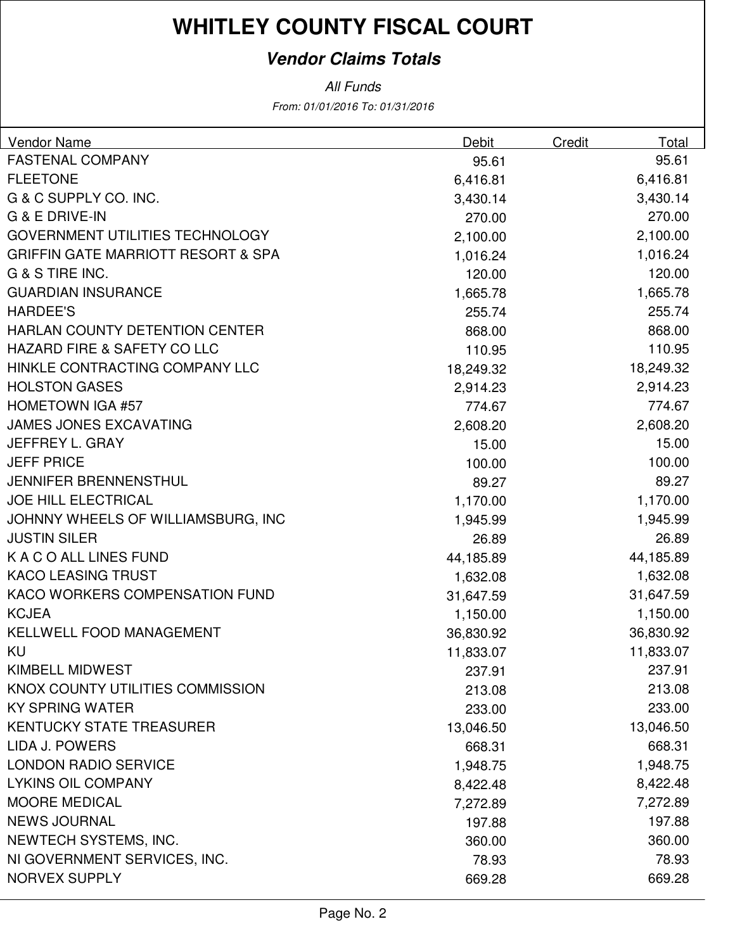### **Vendor Claims Totals**

From: 01/01/2016 To: 01/31/2016 All Funds

| <b>Vendor Name</b>                            | Debit     | Credit | Total     |
|-----------------------------------------------|-----------|--------|-----------|
| <b>FASTENAL COMPANY</b>                       | 95.61     |        | 95.61     |
| <b>FLEETONE</b>                               | 6,416.81  |        | 6,416.81  |
| G & C SUPPLY CO. INC.                         | 3,430.14  |        | 3,430.14  |
| <b>G &amp; E DRIVE-IN</b>                     | 270.00    |        | 270.00    |
| GOVERNMENT UTILITIES TECHNOLOGY               | 2,100.00  |        | 2,100.00  |
| <b>GRIFFIN GATE MARRIOTT RESORT &amp; SPA</b> | 1,016.24  |        | 1,016.24  |
| G & S TIRE INC.                               | 120.00    |        | 120.00    |
| <b>GUARDIAN INSURANCE</b>                     | 1,665.78  |        | 1,665.78  |
| <b>HARDEE'S</b>                               | 255.74    |        | 255.74    |
| HARLAN COUNTY DETENTION CENTER                | 868.00    |        | 868.00    |
| HAZARD FIRE & SAFETY CO LLC                   | 110.95    |        | 110.95    |
| HINKLE CONTRACTING COMPANY LLC                | 18,249.32 |        | 18,249.32 |
| <b>HOLSTON GASES</b>                          | 2,914.23  |        | 2,914.23  |
| <b>HOMETOWN IGA #57</b>                       | 774.67    |        | 774.67    |
| <b>JAMES JONES EXCAVATING</b>                 | 2,608.20  |        | 2,608.20  |
| <b>JEFFREY L. GRAY</b>                        | 15.00     |        | 15.00     |
| <b>JEFF PRICE</b>                             | 100.00    |        | 100.00    |
| <b>JENNIFER BRENNENSTHUL</b>                  | 89.27     |        | 89.27     |
| <b>JOE HILL ELECTRICAL</b>                    | 1,170.00  |        | 1,170.00  |
| JOHNNY WHEELS OF WILLIAMSBURG, INC            | 1,945.99  |        | 1,945.99  |
| <b>JUSTIN SILER</b>                           | 26.89     |        | 26.89     |
| K A C O ALL LINES FUND                        | 44,185.89 |        | 44,185.89 |
| <b>KACO LEASING TRUST</b>                     | 1,632.08  |        | 1,632.08  |
| KACO WORKERS COMPENSATION FUND                | 31,647.59 |        | 31,647.59 |
| <b>KCJEA</b>                                  | 1,150.00  |        | 1,150.00  |
| <b>KELLWELL FOOD MANAGEMENT</b>               | 36,830.92 |        | 36,830.92 |
| KU                                            | 11,833.07 |        | 11,833.07 |
| <b>KIMBELL MIDWEST</b>                        | 237.91    |        | 237.91    |
| KNOX COUNTY UTILITIES COMMISSION              | 213.08    |        | 213.08    |
| <b>KY SPRING WATER</b>                        | 233.00    |        | 233.00    |
| <b>KENTUCKY STATE TREASURER</b>               | 13,046.50 |        | 13,046.50 |
| LIDA J. POWERS                                | 668.31    |        | 668.31    |
| <b>LONDON RADIO SERVICE</b>                   | 1,948.75  |        | 1,948.75  |
| <b>LYKINS OIL COMPANY</b>                     | 8,422.48  |        | 8,422.48  |
| <b>MOORE MEDICAL</b>                          | 7,272.89  |        | 7,272.89  |
| <b>NEWS JOURNAL</b>                           | 197.88    |        | 197.88    |
| NEWTECH SYSTEMS, INC.                         | 360.00    |        | 360.00    |
| NI GOVERNMENT SERVICES, INC.                  | 78.93     |        | 78.93     |
| <b>NORVEX SUPPLY</b>                          | 669.28    |        | 669.28    |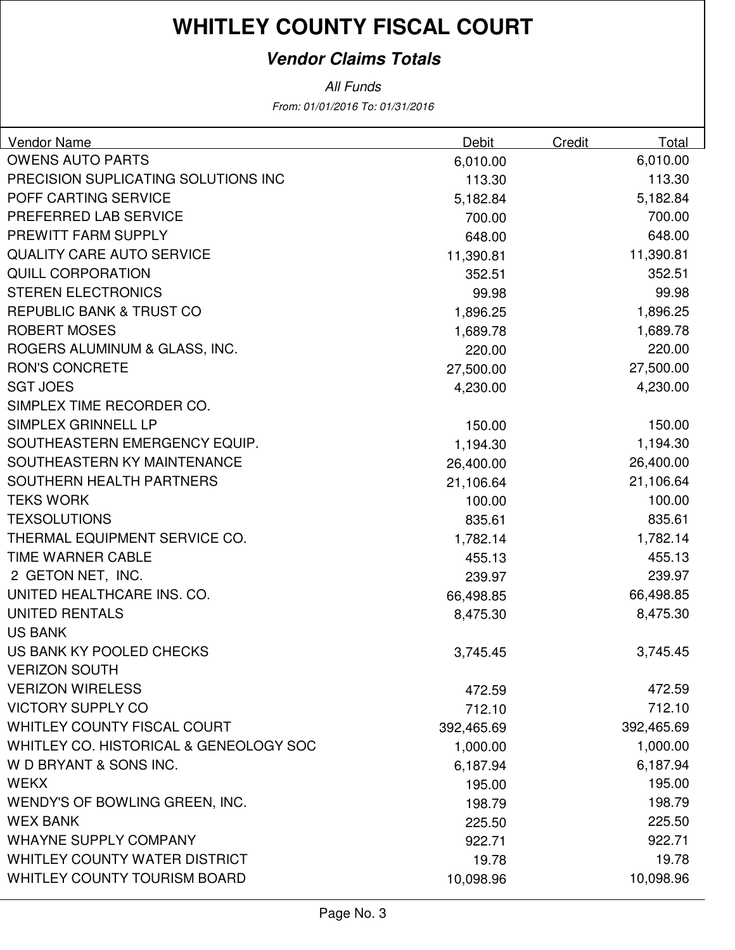### **Vendor Claims Totals**

From: 01/01/2016 To: 01/31/2016 All Funds

| <b>Vendor Name</b>                     | Debit      | Credit | Total      |
|----------------------------------------|------------|--------|------------|
| <b>OWENS AUTO PARTS</b>                | 6,010.00   |        | 6,010.00   |
| PRECISION SUPLICATING SOLUTIONS INC    | 113.30     |        | 113.30     |
| POFF CARTING SERVICE                   | 5,182.84   |        | 5,182.84   |
| PREFERRED LAB SERVICE                  | 700.00     |        | 700.00     |
| PREWITT FARM SUPPLY                    | 648.00     |        | 648.00     |
| <b>QUALITY CARE AUTO SERVICE</b>       | 11,390.81  |        | 11,390.81  |
| <b>QUILL CORPORATION</b>               | 352.51     |        | 352.51     |
| <b>STEREN ELECTRONICS</b>              | 99.98      |        | 99.98      |
| REPUBLIC BANK & TRUST CO               | 1,896.25   |        | 1,896.25   |
| <b>ROBERT MOSES</b>                    | 1,689.78   |        | 1,689.78   |
| ROGERS ALUMINUM & GLASS, INC.          | 220.00     |        | 220.00     |
| <b>RON'S CONCRETE</b>                  | 27,500.00  |        | 27,500.00  |
| <b>SGT JOES</b>                        | 4,230.00   |        | 4,230.00   |
| SIMPLEX TIME RECORDER CO.              |            |        |            |
| SIMPLEX GRINNELL LP                    | 150.00     |        | 150.00     |
| SOUTHEASTERN EMERGENCY EQUIP.          | 1,194.30   |        | 1,194.30   |
| SOUTHEASTERN KY MAINTENANCE            | 26,400.00  |        | 26,400.00  |
| SOUTHERN HEALTH PARTNERS               | 21,106.64  |        | 21,106.64  |
| <b>TEKS WORK</b>                       | 100.00     |        | 100.00     |
| <b>TEXSOLUTIONS</b>                    | 835.61     |        | 835.61     |
| THERMAL EQUIPMENT SERVICE CO.          | 1,782.14   |        | 1,782.14   |
| TIME WARNER CABLE                      | 455.13     |        | 455.13     |
| 2 GETON NET, INC.                      | 239.97     |        | 239.97     |
| UNITED HEALTHCARE INS. CO.             | 66,498.85  |        | 66,498.85  |
| <b>UNITED RENTALS</b>                  | 8,475.30   |        | 8,475.30   |
| <b>US BANK</b>                         |            |        |            |
| US BANK KY POOLED CHECKS               | 3,745.45   |        | 3,745.45   |
| <b>VERIZON SOUTH</b>                   |            |        |            |
| <b>VERIZON WIRELESS</b>                | 472.59     |        | 472.59     |
| <b>VICTORY SUPPLY CO</b>               | 712.10     |        | 712.10     |
| <b>WHITLEY COUNTY FISCAL COURT</b>     | 392,465.69 |        | 392,465.69 |
| WHITLEY CO. HISTORICAL & GENEOLOGY SOC | 1,000.00   |        | 1,000.00   |
| W D BRYANT & SONS INC.                 | 6,187.94   |        | 6,187.94   |
| <b>WEKX</b>                            | 195.00     |        | 195.00     |
| WENDY'S OF BOWLING GREEN, INC.         | 198.79     |        | 198.79     |
| <b>WEX BANK</b>                        | 225.50     |        | 225.50     |
| <b>WHAYNE SUPPLY COMPANY</b>           | 922.71     |        | 922.71     |
| WHITLEY COUNTY WATER DISTRICT          | 19.78      |        | 19.78      |
| <b>WHITLEY COUNTY TOURISM BOARD</b>    | 10,098.96  |        | 10,098.96  |